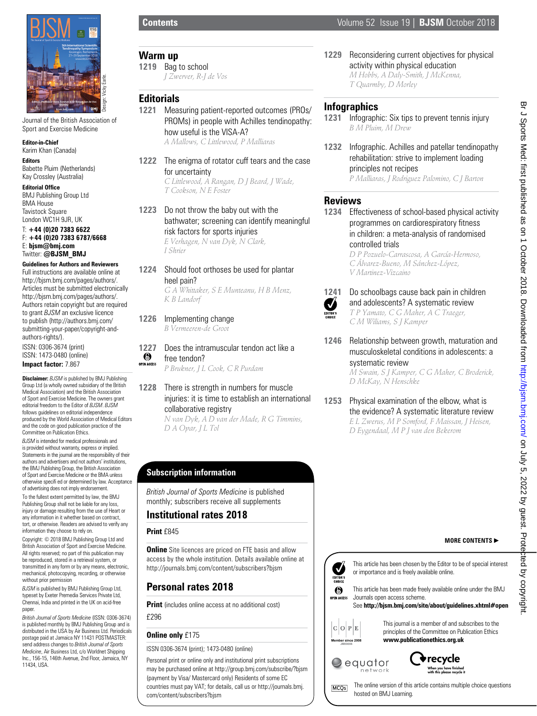

Journal of the British Association of Sport and Exercise Medicine

#### **Editor-in-Chief** Karim Khan (Canada)

**Editors** Babette Pluim (Netherlands)

#### Kay Crossley (Australia) **Editorial Office**

BMJ Publishing Group Ltd BMA House Tavistock Square London WC1H 9JR, UK

#### T: **+44 (0)20 7383 6622** F: **+44 (0)20 7383 6787/6668** E: **bjsm@bmj.com** Twitter: **@BJSM\_BMJ**

**Guidelines for Authors and Reviewers** Full instructions are available online at http://bjsm.bmj.com/pages/authors/. Articles must be submitted electronically http://bjsm.bmj.com/pages/authors/. Authors retain copyright but are required to grant *BJSM* an exclusive licence to publish (http://authors.bmj.com/ submitting-your-paper/copyright-andauthors-rights/). ISSN: 0306-3674 (print) ISSN: 1473-0480 (online) **Impact factor:** 7.867

**Disclaimer:** *BJSM* is published by BMJ Publishing Group Ltd (a wholly owned subsidiary of the British Medical Association) and the British Association of Sport and Exercise Medicine. The owners grant editorial freedom to the Editor of *BJSM*. *BJSM* follows guidelines on editorial independence produced by the World Association of Medical Editors and the code on good publication practice of the Committee on Publication Ethics.

*BJSM* is intended for medical professionals and is provided without warranty, express or implied. Statements in the journal are the responsibility of their authors and advertisers and not authors' institutions, the BMJ Publishing Group, the British Association of Sport and Exercise Medicine or the BMA unless otherwise specifi ed or determined by law. Acceptance of advertising does not imply endorsement. To the fullest extent permitted by law, the BMJ Publishing Group shall not be liable for any loss,

injury or damage resulting from the use of Heart or any information in it whether based on contract, tort, or otherwise. Readers are advised to verify any information they choose to rely on.

Copyright: © 2018 BMJ Publishing Group Ltd and British Association of Sport and Exercise Medicine. All rights reserved; no part of this publication may be reproduced, stored in a retrieval system, or transmitted in any form or by any means, electronic, mechanical, photocopying, recording, or otherwise without prior permission

*BJSM* is published by BMJ Publishing Group Ltd, typeset by Exeter Premedia Services Private Ltd, Chennai, India and printed in the UK on acid-free paper.

*British Journal of Sports Medicine* (ISSN: 0306-3674) is published monthly by BMJ Publishing Group and is distributed in the USA by Air Business Ltd. Periodicals postage paid at Jamaica NY 11431 POSTMASTER: send address changes to *British Journal of Sports Medicine*, Air Business Ltd, c/o Worldnet Shipping Inc., 156-15, 146th Avenue, 2nd Floor, Jamaica, NY 11434, USA.

### **Warm up**

**1219** Bag to school *J Zwerver, R-J de Vos*

### **Editorials**

- **1221** Measuring patient-reported outcomes (PROs/ PROMs) in people with Achilles tendinopathy: how useful is the VISA-A? *A Mallows, C Littlewood, P Malliaras*
- **1222** The enigma of rotator cuff tears and the case for uncertainty *C Littlewood, A Rangan, D J Beard, J Wade, T Cookson, N E Foster*
- **1223** Do not throw the baby out with the bathwater; screening can identify meaningful risk factors for sports injuries *E Verhagen, N van Dyk, N Clark,*

*I Shrier*

**1224** Should foot orthoses be used for plantar heel pain? *G A Whittaker, S E Munteanu, H B Menz,* 

*K B Landorf*

- **1226** Implementing change *B Vermeeren-de Groot*
- **1227** Does the intramuscular tendon act like a<br> **6** free tendon? free tendon? OPEN ACCESS

*P Brukner, J L Cook, C R Purdam*

**1228** There is strength in numbers for muscle injuries: it is time to establish an international collaborative registry *N van Dyk, A D van der Made, R G Timmins,* 

*D A Opar, J L Tol*

# **Subscription information**

*British Journal of Sports Medicine* is published monthly; subscribers receive all supplements

### **Institutional rates 2018**

#### **Print** £845

**Online** Site licences are priced on FTE basis and allow access by the whole institution. Details available online at http://journals.bmj.com/content/subscribers?bjsm

# **Personal rates 2018**

**Print** (includes online access at no additional cost)

£296

#### **Online only** £175

#### ISSN 0306-3674 (print); 1473-0480 (online)

Personal print or online only and institutional print subscriptions may be purchased online at http://group.bmj.com/subscribe/?bjsm (payment by Visa/ Mastercard only) Residents of some EC countries must pay VAT; for details, call us or http://journals.bmj. com/content/subscribers?bjsm

**1229** Reconsidering current objectives for physical activity within physical education *M Hobbs, A Daly-Smith, J McKenna,* 

*T Quarmby, D Morley*

## **Infographics**

- **1231** Infographic: Six tips to prevent tennis injury *B M Pluim, M Drew*
- **1232** Infographic. Achilles and patellar tendinopathy rehabilitation: strive to implement loading principles not recipes *P Malliaras, J Rodriguez Palomino, C J Barton*

# **Reviews**

**1234** Effectiveness of school-based physical activity programmes on cardiorespiratory fitness in children: a meta-analysis of randomised controlled trials

*D P Pozuelo-Carrascosa, A García-Hermoso, C Álvarez-Bueno, M Sánchez-López, V Martinez-Vizcaino*



#### **1241** Do schoolbags cause back pain in children and adolescents? A systematic review *T P Yamato, C G Maher, A C Traeger, C M Wiliams, S J Kamper*

- **1246** Relationship between growth, maturation and musculoskeletal conditions in adolescents: a systematic review *M Swain, S J Kamper, C G Maher, C Broderick, D McKay, N Henschke*
- **1253** Physical examination of the elbow, what is the evidence? A systematic literature review *E L Zwerus, M P Somford, F Maissan, J Heisen, D Eygendaal, M P J van den Bekerom*

#### **MORE CONTENTS**



This article has been chosen by the Editor to be of special interest or importance and is freely available online.

This article has been made freely available online under the BMJ Journals open access scheme.

#### See **http://bjsm.bmj.com/site/about/guidelines.xhtml#open**



This journal is a member of and subscribes to the principles of the Committee on Publication Ethics **www.publicationethics.org.uk**





The online version of this article contains multiple choice questions MCQ<sub>S</sub> hosted on BMJ Learning.